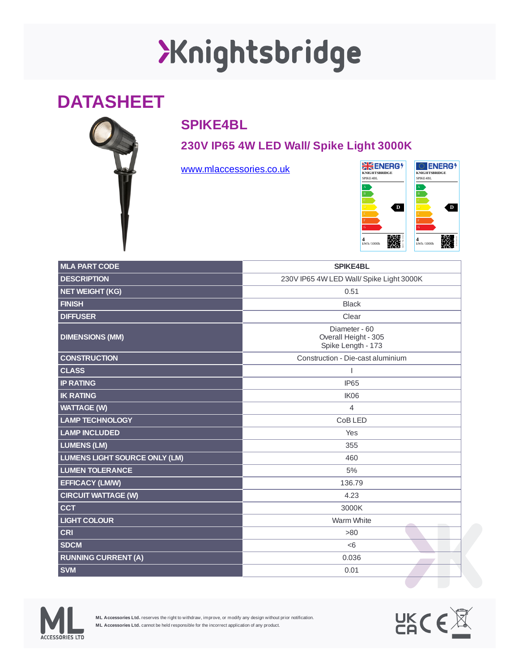## XKnightsbridge

## **DATASHEET**



## **SPIKE4BL**

**230V IP65 4W LED Wall/ Spike Light 3000K**

[www.mlaccessories.co.uk](https://www.mlaccessories.co.uk/)



| <b>MLA PART CODE</b>                 | <b>SPIKE4BL</b>                                             |
|--------------------------------------|-------------------------------------------------------------|
| <b>DESCRIPTION</b>                   | 230V IP65 4W LED Wall/ Spike Light 3000K                    |
| NET WEIGHT (KG)                      | 0.51                                                        |
| <b>FINISH</b>                        | <b>Black</b>                                                |
| <b>DIFFUSER</b>                      | Clear                                                       |
| <b>DIMENSIONS (MM)</b>               | Diameter - 60<br>Overall Height - 305<br>Spike Length - 173 |
| <b>CONSTRUCTION</b>                  | Construction - Die-cast aluminium                           |
| <b>CLASS</b>                         |                                                             |
| <b>IP RATING</b>                     | <b>IP65</b>                                                 |
| <b>IK RATING</b>                     | IK06                                                        |
| <b>WATTAGE (W)</b>                   | $\overline{4}$                                              |
| <b>LAMP TECHNOLOGY</b>               | CoB LED                                                     |
| <b>LAMP INCLUDED</b>                 | Yes                                                         |
| <b>LUMENS (LM)</b>                   | 355                                                         |
| <b>LUMENS LIGHT SOURCE ONLY (LM)</b> | 460                                                         |
| <b>LUMEN TOLERANCE</b>               | 5%                                                          |
| <b>EFFICACY (LM/W)</b>               | 136.79                                                      |
| <b>CIRCUIT WATTAGE (W)</b>           | 4.23                                                        |
| <b>CCT</b>                           | 3000K                                                       |
| <b>LIGHT COLOUR</b>                  | Warm White                                                  |
| <b>CRI</b>                           | >80                                                         |
| <b>SDCM</b>                          | <6                                                          |
| <b>RUNNING CURRENT (A)</b>           | 0.036                                                       |
| <b>SVM</b>                           | 0.01                                                        |



**ML Accessories Ltd.** reserves the right to withdraw, improve, or modify any design without prior notification. **ML Accessories Ltd.** cannot be held responsible for the incorrect application of any product.